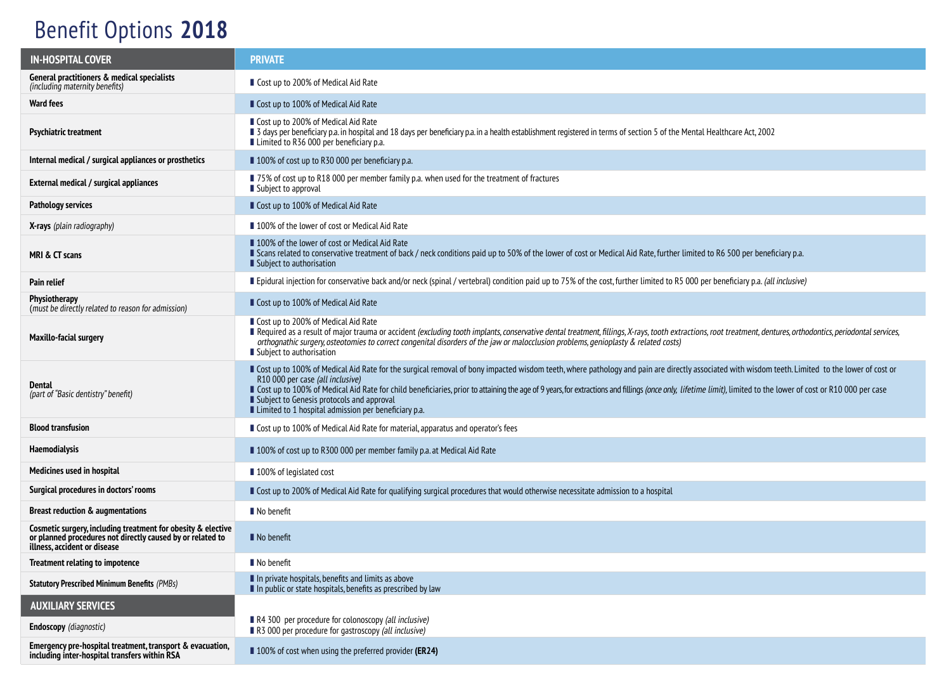## Benefit Options **2018**

| <b>IN-HOSPITAL COVER</b>                                                                                                                                   | <b>PRIVATE</b>                                                                                                                                                                                                                                                                                                                                                                                                                                                                                                                                                   |  |  |
|------------------------------------------------------------------------------------------------------------------------------------------------------------|------------------------------------------------------------------------------------------------------------------------------------------------------------------------------------------------------------------------------------------------------------------------------------------------------------------------------------------------------------------------------------------------------------------------------------------------------------------------------------------------------------------------------------------------------------------|--|--|
| General practitioners & medical specialists<br>(including maternity benefits)                                                                              | ■ Cost up to 200% of Medical Aid Rate                                                                                                                                                                                                                                                                                                                                                                                                                                                                                                                            |  |  |
| <b>Ward fees</b>                                                                                                                                           | ■ Cost up to 100% of Medical Aid Rate                                                                                                                                                                                                                                                                                                                                                                                                                                                                                                                            |  |  |
| <b>Psychiatric treatment</b>                                                                                                                               | ■ Cost up to 200% of Medical Aid Rate<br>■ 3 days per beneficiary p.a. in hospital and 18 days per beneficiary p.a. in a health establishment registered in terms of section 5 of the Mental Healthcare Act, 2002<br>■ Limited to R36 000 per beneficiary p.a.                                                                                                                                                                                                                                                                                                   |  |  |
| Internal medical / surgical appliances or prosthetics                                                                                                      | ■ 100% of cost up to R30 000 per beneficiary p.a.                                                                                                                                                                                                                                                                                                                                                                                                                                                                                                                |  |  |
| External medical / surgical appliances                                                                                                                     | ■ 75% of cost up to R18 000 per member family p.a. when used for the treatment of fractures<br>■ Subject to approval                                                                                                                                                                                                                                                                                                                                                                                                                                             |  |  |
| Pathology services                                                                                                                                         | Cost up to 100% of Medical Aid Rate                                                                                                                                                                                                                                                                                                                                                                                                                                                                                                                              |  |  |
| <b>X-rays</b> (plain radiography)                                                                                                                          | ■ 100% of the lower of cost or Medical Aid Rate                                                                                                                                                                                                                                                                                                                                                                                                                                                                                                                  |  |  |
| MRI & CT scans                                                                                                                                             | ■ 100% of the lower of cost or Medical Aid Rate<br>Scans related to conservative treatment of back / neck conditions paid up to 50% of the lower of cost or Medical Aid Rate, further limited to R6 500 per beneficiary p.a.<br>■ Subject to authorisation                                                                                                                                                                                                                                                                                                       |  |  |
| <b>Pain relief</b>                                                                                                                                         | Epidural injection for conservative back and/or neck (spinal / vertebral) condition paid up to 75% of the cost, further limited to R5 000 per beneficiary p.a. (all inclusive)                                                                                                                                                                                                                                                                                                                                                                                   |  |  |
| <b>Physiotherapy</b><br>(must be directly related to reason for admission)                                                                                 | ■ Cost up to 100% of Medical Aid Rate                                                                                                                                                                                                                                                                                                                                                                                                                                                                                                                            |  |  |
| <b>Maxillo-facial surgery</b>                                                                                                                              | ■ Cost up to 200% of Medical Aid Rate<br>Required as a result of major trauma or accident (excluding tooth implants, conservative dental treatment, fillings, X-rays, tooth extractions, root treatment, dentures, orthodontics, periodontal services,<br>orthognathic surgery, osteotomies to correct congenital disorders of the jaw or malocclusion problems, genioplasty & related costs)<br>Subject to authorisation                                                                                                                                        |  |  |
| Dental<br>(part of "Basic dentistry" benefit)                                                                                                              | ■ Cost up to 100% of Medical Aid Rate for the surgical removal of bony impacted wisdom teeth, where pathology and pain are directly associated with wisdom teeth. Limited to the lower of cost or<br>R10 000 per case (all inclusive)<br>Cost up to 100% of Medical Aid Rate for child beneficiaries, prior to attaining the age of 9 years, for extractions and fillings (once only, lifetime limit), limited to the lower of cost or R10 000 per case<br>■ Subject to Genesis protocols and approval<br>■ Limited to 1 hospital admission per beneficiary p.a. |  |  |
| <b>Blood transfusion</b>                                                                                                                                   | ■ Cost up to 100% of Medical Aid Rate for material, apparatus and operator's fees                                                                                                                                                                                                                                                                                                                                                                                                                                                                                |  |  |
| <b>Haemodialysis</b>                                                                                                                                       | ■ 100% of cost up to R300 000 per member family p.a. at Medical Aid Rate                                                                                                                                                                                                                                                                                                                                                                                                                                                                                         |  |  |
| Medicines used in hospital                                                                                                                                 | ■ 100% of legislated cost                                                                                                                                                                                                                                                                                                                                                                                                                                                                                                                                        |  |  |
| Surgical procedures in doctors' rooms                                                                                                                      | Gost up to 200% of Medical Aid Rate for qualifying surgical procedures that would otherwise necessitate admission to a hospital                                                                                                                                                                                                                                                                                                                                                                                                                                  |  |  |
| Breast reduction & augmentations                                                                                                                           | ■ No benefit                                                                                                                                                                                                                                                                                                                                                                                                                                                                                                                                                     |  |  |
| Cosmetic surgery, including treatment for obesity & elective<br>or planned procedures not directly caused by or related to<br>illness, accident or disease | $\blacksquare$ No benefit                                                                                                                                                                                                                                                                                                                                                                                                                                                                                                                                        |  |  |
| Treatment relating to impotence                                                                                                                            | No benefit                                                                                                                                                                                                                                                                                                                                                                                                                                                                                                                                                       |  |  |
| <b>Statutory Prescribed Minimum Benefits (PMBs)</b>                                                                                                        | In private hospitals, benefits and limits as above<br>In public or state hospitals, benefits as prescribed by law                                                                                                                                                                                                                                                                                                                                                                                                                                                |  |  |
| <b>AUXILIARY SERVICES</b>                                                                                                                                  |                                                                                                                                                                                                                                                                                                                                                                                                                                                                                                                                                                  |  |  |
| Endoscopy (diagnostic)                                                                                                                                     | R4 300 per procedure for colonoscopy (all inclusive)<br>R3 000 per procedure for gastroscopy (all inclusive)                                                                                                                                                                                                                                                                                                                                                                                                                                                     |  |  |
| Emergency pre-hospital treatment, transport & evacuation,<br>including inter-hospital transfers within RSA                                                 | ■ 100% of cost when using the preferred provider (ER24)                                                                                                                                                                                                                                                                                                                                                                                                                                                                                                          |  |  |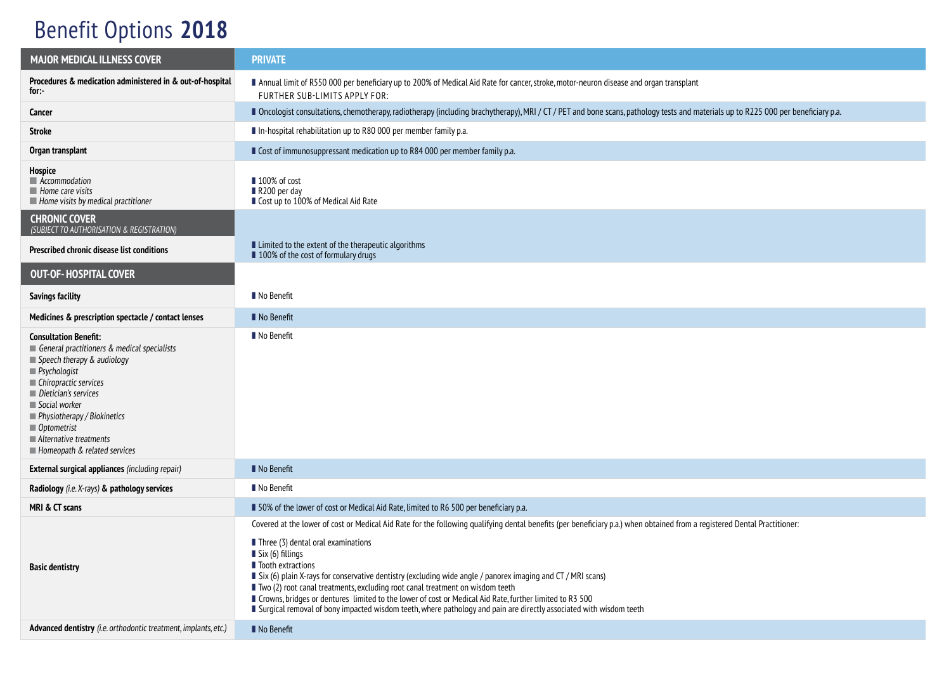## Benefit Options **2018**

| <b>MAJOR MEDICAL ILLNESS COVER</b>                                                                                                                                                                                                                                                                                                               | <b>PRIVATE</b>                                                                                                                                                                                                                                                                                                                                                                                                                                                                                                                                                                                                                                                                                            |  |  |
|--------------------------------------------------------------------------------------------------------------------------------------------------------------------------------------------------------------------------------------------------------------------------------------------------------------------------------------------------|-----------------------------------------------------------------------------------------------------------------------------------------------------------------------------------------------------------------------------------------------------------------------------------------------------------------------------------------------------------------------------------------------------------------------------------------------------------------------------------------------------------------------------------------------------------------------------------------------------------------------------------------------------------------------------------------------------------|--|--|
| Procedures & medication administered in & out-of-hospital<br>for:-                                                                                                                                                                                                                                                                               | Annual limit of R550 000 per beneficiary up to 200% of Medical Aid Rate for cancer, stroke, motor-neuron disease and organ transplant<br>FURTHER SUB-LIMITS APPLY FOR:                                                                                                                                                                                                                                                                                                                                                                                                                                                                                                                                    |  |  |
| Cancer                                                                                                                                                                                                                                                                                                                                           | ■ Oncologist consultations, chemotherapy, radiotherapy (including brachytherapy), MRI / CT / PET and bone scans, pathology tests and materials up to R225 000 per beneficiary p.a.                                                                                                                                                                                                                                                                                                                                                                                                                                                                                                                        |  |  |
| Stroke                                                                                                                                                                                                                                                                                                                                           | In-hospital rehabilitation up to R80 000 per member family p.a.                                                                                                                                                                                                                                                                                                                                                                                                                                                                                                                                                                                                                                           |  |  |
| Organ transplant                                                                                                                                                                                                                                                                                                                                 | Cost of immunosuppressant medication up to R84 000 per member family p.a.                                                                                                                                                                                                                                                                                                                                                                                                                                                                                                                                                                                                                                 |  |  |
| Hospice<br>$\blacksquare$ Accommodation<br>$\blacksquare$ Home care visits<br>$\blacksquare$ Home visits by medical practitioner                                                                                                                                                                                                                 | ■ 100% of cost<br>R200 per day<br>Cost up to 100% of Medical Aid Rate                                                                                                                                                                                                                                                                                                                                                                                                                                                                                                                                                                                                                                     |  |  |
| <b>CHRONIC COVER</b><br>(SUBJECT TO AUTHORISATION & REGISTRATION)                                                                                                                                                                                                                                                                                |                                                                                                                                                                                                                                                                                                                                                                                                                                                                                                                                                                                                                                                                                                           |  |  |
| Prescribed chronic disease list conditions                                                                                                                                                                                                                                                                                                       | ■ Limited to the extent of the therapeutic algorithms<br>100% of the cost of formulary drugs                                                                                                                                                                                                                                                                                                                                                                                                                                                                                                                                                                                                              |  |  |
| <b>OUT-OF-HOSPITAL COVER</b>                                                                                                                                                                                                                                                                                                                     |                                                                                                                                                                                                                                                                                                                                                                                                                                                                                                                                                                                                                                                                                                           |  |  |
| <b>Savings facility</b>                                                                                                                                                                                                                                                                                                                          | No Benefit                                                                                                                                                                                                                                                                                                                                                                                                                                                                                                                                                                                                                                                                                                |  |  |
| Medicines & prescription spectacle / contact lenses                                                                                                                                                                                                                                                                                              | No Benefit                                                                                                                                                                                                                                                                                                                                                                                                                                                                                                                                                                                                                                                                                                |  |  |
| <b>Consultation Benefit:</b><br>General practitioners & medical specialists<br>$\blacksquare$ Speech therapy & audiology<br>$\blacksquare$ Psychologist<br>Chiropractic services<br>Dietician's services<br>Social worker<br>Physiotherapy / Biokinetics<br>$\blacksquare$ Optometrist<br>Alternative treatments<br>Homeopath & related services | No Benefit                                                                                                                                                                                                                                                                                                                                                                                                                                                                                                                                                                                                                                                                                                |  |  |
| <b>External surgical appliances</b> (including repair)                                                                                                                                                                                                                                                                                           | No Benefit                                                                                                                                                                                                                                                                                                                                                                                                                                                                                                                                                                                                                                                                                                |  |  |
| Radiology (i.e. X-rays) & pathology services                                                                                                                                                                                                                                                                                                     | No Benefit                                                                                                                                                                                                                                                                                                                                                                                                                                                                                                                                                                                                                                                                                                |  |  |
| MRI & CT scans                                                                                                                                                                                                                                                                                                                                   | ■ 50% of the lower of cost or Medical Aid Rate, limited to R6 500 per beneficiary p.a.                                                                                                                                                                                                                                                                                                                                                                                                                                                                                                                                                                                                                    |  |  |
| <b>Basic dentistry</b>                                                                                                                                                                                                                                                                                                                           | Covered at the lower of cost or Medical Aid Rate for the following qualifying dental benefits (per beneficiary p.a.) when obtained from a registered Dental Practitioner:<br>Three (3) dental oral examinations<br>Six (6) fillings<br>lacelle Tooth extractions<br>■ Six (6) plain X-rays for conservative dentistry (excluding wide angle / panorex imaging and CT / MRI scans)<br>■ Two (2) root canal treatments, excluding root canal treatment on wisdom teeth<br>■ Crowns, bridges or dentures limited to the lower of cost or Medical Aid Rate, further limited to R3 500<br>I Surgical removal of bony impacted wisdom teeth, where pathology and pain are directly associated with wisdom teeth |  |  |
| Advanced dentistry (i.e. orthodontic treatment, implants, etc.)                                                                                                                                                                                                                                                                                  | No Benefit                                                                                                                                                                                                                                                                                                                                                                                                                                                                                                                                                                                                                                                                                                |  |  |